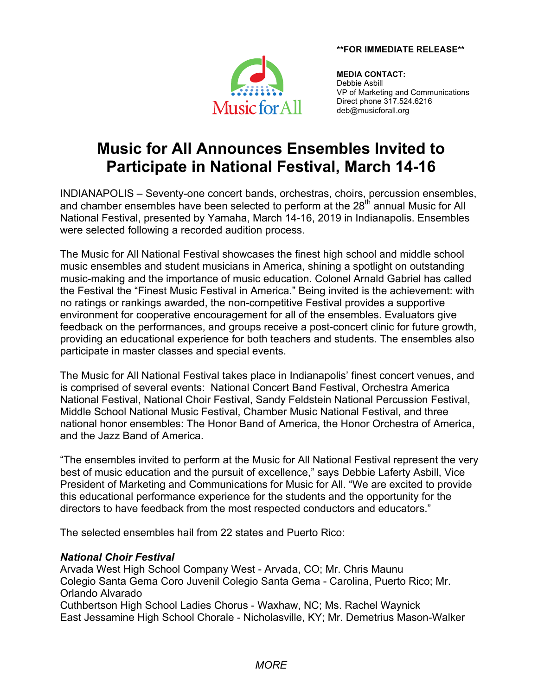#### **\*\*FOR IMMEDIATE RELEASE\*\***



**MEDIA CONTACT:** Debbie Asbill VP of Marketing and Communications Direct phone 317.524.6216 deb@musicforall.org

# **Music for All Announces Ensembles Invited to Participate in National Festival, March 14-16**

INDIANAPOLIS – Seventy-one concert bands, orchestras, choirs, percussion ensembles, and chamber ensembles have been selected to perform at the 28<sup>th</sup> annual Music for All National Festival, presented by Yamaha, March 14-16, 2019 in Indianapolis. Ensembles were selected following a recorded audition process.

The Music for All National Festival showcases the finest high school and middle school music ensembles and student musicians in America, shining a spotlight on outstanding music-making and the importance of music education. Colonel Arnald Gabriel has called the Festival the "Finest Music Festival in America." Being invited is the achievement: with no ratings or rankings awarded, the non-competitive Festival provides a supportive environment for cooperative encouragement for all of the ensembles. Evaluators give feedback on the performances, and groups receive a post-concert clinic for future growth, providing an educational experience for both teachers and students. The ensembles also participate in master classes and special events.

The Music for All National Festival takes place in Indianapolis' finest concert venues, and is comprised of several events: National Concert Band Festival, Orchestra America National Festival, National Choir Festival, Sandy Feldstein National Percussion Festival, Middle School National Music Festival, Chamber Music National Festival, and three national honor ensembles: The Honor Band of America, the Honor Orchestra of America, and the Jazz Band of America.

"The ensembles invited to perform at the Music for All National Festival represent the very best of music education and the pursuit of excellence," says Debbie Laferty Asbill, Vice President of Marketing and Communications for Music for All. "We are excited to provide this educational performance experience for the students and the opportunity for the directors to have feedback from the most respected conductors and educators."

The selected ensembles hail from 22 states and Puerto Rico:

## *National Choir Festival*

Arvada West High School Company West - Arvada, CO; Mr. Chris Maunu Colegio Santa Gema Coro Juvenil Colegio Santa Gema - Carolina, Puerto Rico; Mr. Orlando Alvarado Cuthbertson High School Ladies Chorus - Waxhaw, NC; Ms. Rachel Waynick East Jessamine High School Chorale - Nicholasville, KY; Mr. Demetrius Mason-Walker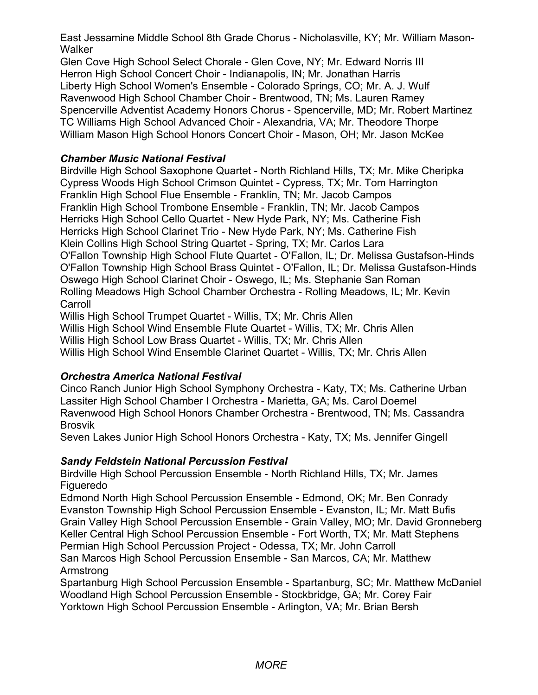East Jessamine Middle School 8th Grade Chorus - Nicholasville, KY; Mr. William Mason-**Walker** 

Glen Cove High School Select Chorale - Glen Cove, NY; Mr. Edward Norris III Herron High School Concert Choir - Indianapolis, IN; Mr. Jonathan Harris Liberty High School Women's Ensemble - Colorado Springs, CO; Mr. A. J. Wulf Ravenwood High School Chamber Choir - Brentwood, TN; Ms. Lauren Ramey Spencerville Adventist Academy Honors Chorus - Spencerville, MD; Mr. Robert Martinez TC Williams High School Advanced Choir - Alexandria, VA; Mr. Theodore Thorpe William Mason High School Honors Concert Choir - Mason, OH; Mr. Jason McKee

# *Chamber Music National Festival*

Birdville High School Saxophone Quartet - North Richland Hills, TX; Mr. Mike Cheripka Cypress Woods High School Crimson Quintet - Cypress, TX; Mr. Tom Harrington Franklin High School Flue Ensemble - Franklin, TN; Mr. Jacob Campos Franklin High School Trombone Ensemble - Franklin, TN; Mr. Jacob Campos Herricks High School Cello Quartet - New Hyde Park, NY; Ms. Catherine Fish Herricks High School Clarinet Trio - New Hyde Park, NY; Ms. Catherine Fish Klein Collins High School String Quartet - Spring, TX; Mr. Carlos Lara O'Fallon Township High School Flute Quartet - O'Fallon, IL; Dr. Melissa Gustafson-Hinds O'Fallon Township High School Brass Quintet - O'Fallon, IL; Dr. Melissa Gustafson-Hinds Oswego High School Clarinet Choir - Oswego, IL; Ms. Stephanie San Roman Rolling Meadows High School Chamber Orchestra - Rolling Meadows, IL; Mr. Kevin **Carroll** 

Willis High School Trumpet Quartet - Willis, TX; Mr. Chris Allen Willis High School Wind Ensemble Flute Quartet - Willis, TX; Mr. Chris Allen Willis High School Low Brass Quartet - Willis, TX; Mr. Chris Allen Willis High School Wind Ensemble Clarinet Quartet - Willis, TX; Mr. Chris Allen

# *Orchestra America National Festival*

Cinco Ranch Junior High School Symphony Orchestra - Katy, TX; Ms. Catherine Urban Lassiter High School Chamber I Orchestra - Marietta, GA; Ms. Carol Doemel Ravenwood High School Honors Chamber Orchestra - Brentwood, TN; Ms. Cassandra Brosvik

Seven Lakes Junior High School Honors Orchestra - Katy, TX; Ms. Jennifer Gingell

## *Sandy Feldstein National Percussion Festival*

Birdville High School Percussion Ensemble - North Richland Hills, TX; Mr. James Figueredo

Edmond North High School Percussion Ensemble - Edmond, OK; Mr. Ben Conrady Evanston Township High School Percussion Ensemble - Evanston, IL; Mr. Matt Bufis Grain Valley High School Percussion Ensemble - Grain Valley, MO; Mr. David Gronneberg Keller Central High School Percussion Ensemble - Fort Worth, TX; Mr. Matt Stephens Permian High School Percussion Project - Odessa, TX; Mr. John Carroll San Marcos High School Percussion Ensemble - San Marcos, CA; Mr. Matthew Armstrong

Spartanburg High School Percussion Ensemble - Spartanburg, SC; Mr. Matthew McDaniel Woodland High School Percussion Ensemble - Stockbridge, GA; Mr. Corey Fair Yorktown High School Percussion Ensemble - Arlington, VA; Mr. Brian Bersh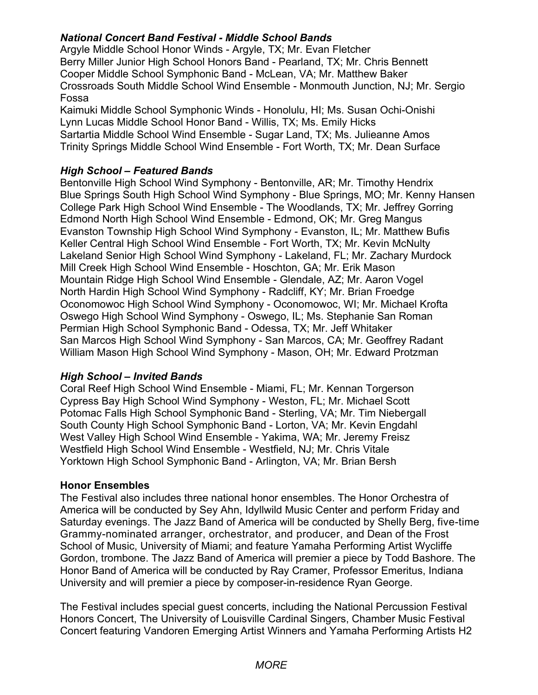# *National Concert Band Festival - Middle School Bands*

Argyle Middle School Honor Winds - Argyle, TX; Mr. Evan Fletcher Berry Miller Junior High School Honors Band - Pearland, TX; Mr. Chris Bennett Cooper Middle School Symphonic Band - McLean, VA; Mr. Matthew Baker Crossroads South Middle School Wind Ensemble - Monmouth Junction, NJ; Mr. Sergio Fossa

Kaimuki Middle School Symphonic Winds - Honolulu, HI; Ms. Susan Ochi-Onishi Lynn Lucas Middle School Honor Band - Willis, TX; Ms. Emily Hicks Sartartia Middle School Wind Ensemble - Sugar Land, TX; Ms. Julieanne Amos Trinity Springs Middle School Wind Ensemble - Fort Worth, TX; Mr. Dean Surface

# *High School – Featured Bands*

Bentonville High School Wind Symphony - Bentonville, AR; Mr. Timothy Hendrix Blue Springs South High School Wind Symphony - Blue Springs, MO; Mr. Kenny Hansen College Park High School Wind Ensemble - The Woodlands, TX; Mr. Jeffrey Gorring Edmond North High School Wind Ensemble - Edmond, OK; Mr. Greg Mangus Evanston Township High School Wind Symphony - Evanston, IL; Mr. Matthew Bufis Keller Central High School Wind Ensemble - Fort Worth, TX; Mr. Kevin McNulty Lakeland Senior High School Wind Symphony - Lakeland, FL; Mr. Zachary Murdock Mill Creek High School Wind Ensemble - Hoschton, GA; Mr. Erik Mason Mountain Ridge High School Wind Ensemble - Glendale, AZ; Mr. Aaron Vogel North Hardin High School Wind Symphony - Radcliff, KY; Mr. Brian Froedge Oconomowoc High School Wind Symphony - Oconomowoc, WI; Mr. Michael Krofta Oswego High School Wind Symphony - Oswego, IL; Ms. Stephanie San Roman Permian High School Symphonic Band - Odessa, TX; Mr. Jeff Whitaker San Marcos High School Wind Symphony - San Marcos, CA; Mr. Geoffrey Radant William Mason High School Wind Symphony - Mason, OH; Mr. Edward Protzman

## *High School – Invited Bands*

Coral Reef High School Wind Ensemble - Miami, FL; Mr. Kennan Torgerson Cypress Bay High School Wind Symphony - Weston, FL; Mr. Michael Scott Potomac Falls High School Symphonic Band - Sterling, VA; Mr. Tim Niebergall South County High School Symphonic Band - Lorton, VA; Mr. Kevin Engdahl West Valley High School Wind Ensemble - Yakima, WA; Mr. Jeremy Freisz Westfield High School Wind Ensemble - Westfield, NJ; Mr. Chris Vitale Yorktown High School Symphonic Band - Arlington, VA; Mr. Brian Bersh

## **Honor Ensembles**

The Festival also includes three national honor ensembles. The Honor Orchestra of America will be conducted by Sey Ahn, Idyllwild Music Center and perform Friday and Saturday evenings. The Jazz Band of America will be conducted by Shelly Berg, five-time Grammy-nominated arranger, orchestrator, and producer, and Dean of the Frost School of Music, University of Miami; and feature Yamaha Performing Artist Wycliffe Gordon, trombone. The Jazz Band of America will premier a piece by Todd Bashore. The Honor Band of America will be conducted by Ray Cramer, Professor Emeritus, Indiana University and will premier a piece by composer-in-residence Ryan George.

The Festival includes special guest concerts, including the National Percussion Festival Honors Concert, The University of Louisville Cardinal Singers, Chamber Music Festival Concert featuring Vandoren Emerging Artist Winners and Yamaha Performing Artists H2